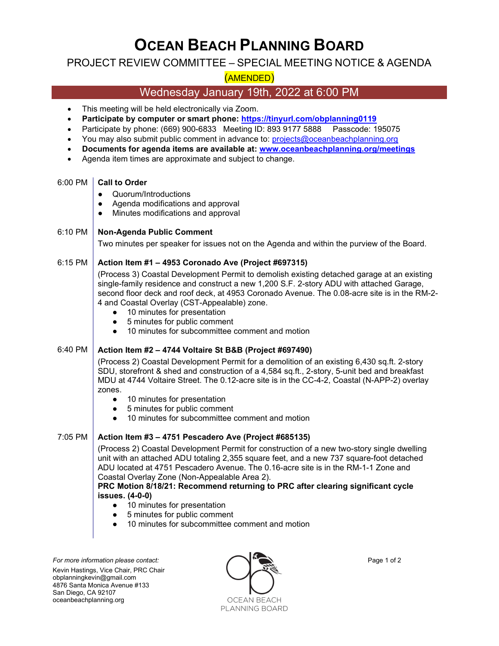# OCEAN BEACH PLANNING BOARD

# PROJECT REVIEW COMMITTEE – SPECIAL MEETING NOTICE & AGENDA

# (AMENDED)

# Wednesday January 19th, 2022 at 6:00 PM

- This meeting will be held electronically via Zoom.
- Participate by computer or smart phone: https://tinyurl.com/obplanning0119
- Participate by phone: (669) 900-6833 Meeting ID: 893 9177 5888 Passcode: 195075
- You may also submit public comment in advance to: projects@oceanbeachplanning.org
- Documents for agenda items are available at: www.oceanbeachplanning.org/meetings
- Agenda item times are approximate and subject to change.

#### 6:00 PM | Call to Order

- Quorum/Introductions
- Agenda modifications and approval
- Minutes modifications and approval

#### 6:10 PM | Non-Agenda Public Comment

Two minutes per speaker for issues not on the Agenda and within the purview of the Board.

#### $6:15$  PM  $\overline{\phantom{a}}$  Action Item #1 – 4953 Coronado Ave (Project #697315)

(Process 3) Coastal Development Permit to demolish existing detached garage at an existing single-family residence and construct a new 1,200 S.F. 2-story ADU with attached Garage, second floor deck and roof deck, at 4953 Coronado Avenue. The 0.08-acre site is in the RM-2- 4 and Coastal Overlay (CST-Appealable) zone.

- 10 minutes for presentation
- 5 minutes for public comment
- 10 minutes for subcommittee comment and motion

### 6:40 PM  $\vert$  Action Item #2 – 4744 Voltaire St B&B (Project #697490)

(Process 2) Coastal Development Permit for a demolition of an existing 6,430 sq.ft. 2-story SDU, storefront & shed and construction of a 4,584 sq.ft., 2-story, 5-unit bed and breakfast MDU at 4744 Voltaire Street. The 0.12-acre site is in the CC-4-2, Coastal (N-APP-2) overlay zones.

- 10 minutes for presentation
- 5 minutes for public comment
- 10 minutes for subcommittee comment and motion

#### 7:05 PM  $\vert$  Action Item #3 – 4751 Pescadero Ave (Project #685135)

(Process 2) Coastal Development Permit for construction of a new two-story single dwelling unit with an attached ADU totaling 2,355 square feet, and a new 737 square-foot detached ADU located at 4751 Pescadero Avenue. The 0.16-acre site is in the RM-1-1 Zone and Coastal Overlay Zone (Non-Appealable Area 2).

#### PRC Motion 8/18/21: Recommend returning to PRC after clearing significant cycle issues. (4-0-0)

- 10 minutes for presentation
- 5 minutes for public comment
- 10 minutes for subcommittee comment and motion

Kevin Hastings, Vice Chair, PRC Chair obplanningkevin@gmail.com 4876 Santa Monica Avenue #133 San Diego, CA 92107 oceanbeachplanning.org